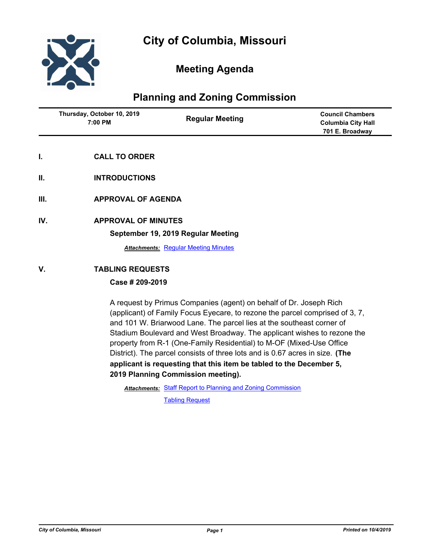

# **Meeting Agenda**

## **Planning and Zoning Commission**

| Thursday, October 10, 2019<br>7:00 PM | <b>Regular Meeting</b> | <b>Council Chambers</b><br><b>Columbia City Hall</b><br>701 E. Broadway |
|---------------------------------------|------------------------|-------------------------------------------------------------------------|
|                                       |                        |                                                                         |

- **I. CALL TO ORDER**
- **II. INTRODUCTIONS**
- **III. APPROVAL OF AGENDA**
- **IV. APPROVAL OF MINUTES**

### **September 19, 2019 Regular Meeting**

**Attachments: [Regular Meeting Minutes](http://gocolumbiamo.legistar.com/gateway.aspx?M=F&ID=f8444cf3-243d-4451-91b2-f8ad875322cc.docx)** 

## **V. TABLING REQUESTS**

## **Case # 209-2019**

A request by Primus Companies (agent) on behalf of Dr. Joseph Rich (applicant) of Family Focus Eyecare, to rezone the parcel comprised of 3, 7, and 101 W. Briarwood Lane. The parcel lies at the southeast corner of Stadium Boulevard and West Broadway. The applicant wishes to rezone the property from R-1 (One-Family Residential) to M-OF (Mixed-Use Office District). The parcel consists of three lots and is 0.67 acres in size. **(The applicant is requesting that this item be tabled to the December 5, 2019 Planning Commission meeting).**

Attachments: [Staff Report to Planning and Zoning Commission](http://gocolumbiamo.legistar.com/gateway.aspx?M=F&ID=f82e8457-1142-4eb4-b640-9597a91feb72.docx)

[Tabling Request](http://gocolumbiamo.legistar.com/gateway.aspx?M=F&ID=8cac9092-1791-4c3f-80d2-85a538c2ce8b.pdf)